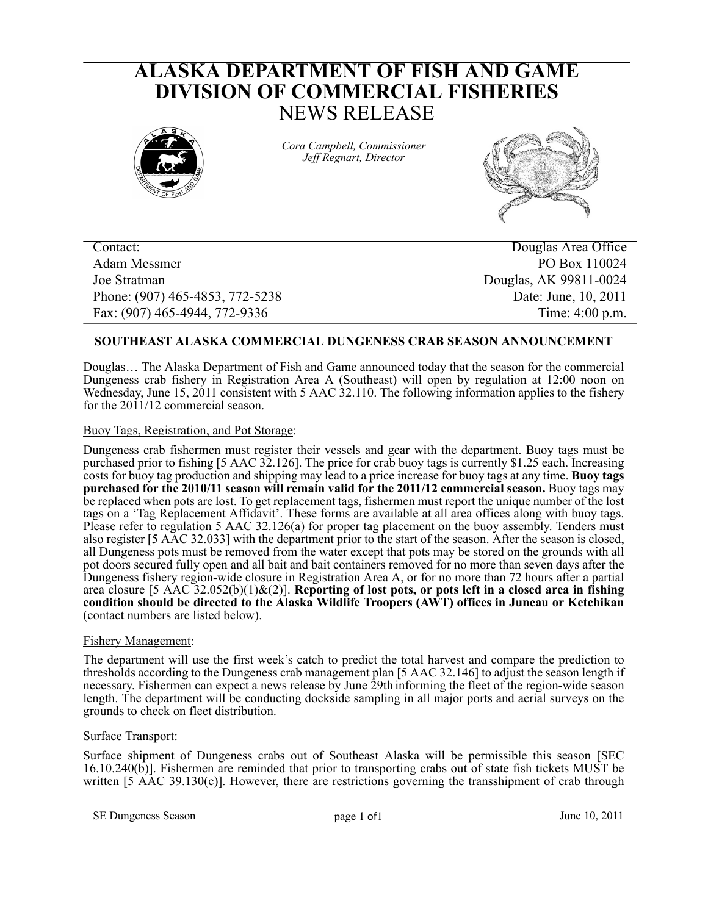# **ALASKA DEPARTMENT OF FISH AND GAME DIVISION OF COMMERCIAL FISHERIES** NEWS RELEASE



*Cora Campbell, Commissioner Jeff Regnart, Director*



Adam Messmer PO Box 110024 Joe Stratman Douglas, AK 99811-0024 Phone: (907) 465-4853, 772-5238 Date: June, 10, 2011 Fax: (907) 465-4944, 772-9336 Time: 4:00 p.m.

Contact: Douglas Area Office

# **SOUTHEAST ALASKA COMMERCIAL DUNGENESS CRAB SEASON ANNOUNCEMENT**

Douglas… The Alaska Department of Fish and Game announced today that the season for the commercial Dungeness crab fishery in Registration Area A (Southeast) will open by regulation at 12:00 noon on Wednesday, June 15, 2011 consistent with 5 AAC 32.110. The following information applies to the fishery for the 2011/12 commercial season.

## Buoy Tags, Registration, and Pot Storage:

Dungeness crab fishermen must register their vessels and gear with the department. Buoy tags must be purchased prior to fishing [5 AAC 32.126]. The price for crab buoy tags is currently \$1.25 each. Increasing costs for buoy tag production and shipping may lead to a price increase for buoy tags at any time. **Buoy tags purchased for the 2010/11 season will remain valid for the 2011/12 commercial season.** Buoy tags may be replaced when pots are lost. To get replacement tags, fishermen must report the unique number of the lost tags on a 'Tag Replacement Affidavit'. These forms are available at all area offices along with buoy tags. Please refer to regulation 5 AAC 32.126(a) for proper tag placement on the buoy assembly. Tenders must also register [5 AAC 32.033] with the department prior to the start of the season. After the season is closed, all Dungeness pots must be removed from the water except that pots may be stored on the grounds with all pot doors secured fully open and all bait and bait containers removed for no more than seven days after the Dungeness fishery region-wide closure in Registration Area A, or for no more than 72 hours after a partial area closure [5 AAC 32.052(b)(1)&(2)]. **Reporting of lost pots, or pots left in a closed area in fishing condition should be directed to the Alaska Wildlife Troopers (AWT) offices in Juneau or Ketchikan** (contact numbers are listed below).

## Fishery Management:

The department will use the first week's catch to predict the total harvest and compare the prediction to thresholds according to the Dungeness crab management plan [5 AAC 32.146] to adjust the season length if necessary. Fishermen can expect a news release by June 29th informing the fleet of the region-wide season length. The department will be conducting dockside sampling in all major ports and aerial surveys on the grounds to check on fleet distribution.

## Surface Transport:

Surface shipment of Dungeness crabs out of Southeast Alaska will be permissible this season [SEC 16.10.240(b)]. Fishermen are reminded that prior to transporting crabs out of state fish tickets MUST be written  $[5 \overline{A}AC 39.130(c)]$ . However, there are restrictions governing the transshipment of crab through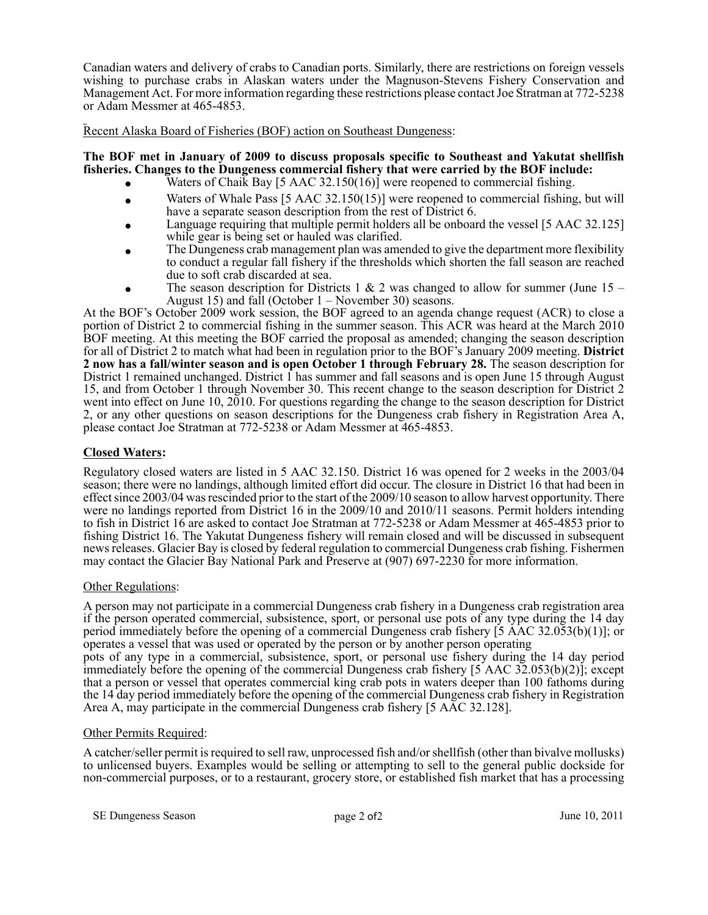Canadian waters and delivery of crabs to Canadian ports. Similarly, there are restrictions on foreign vessels wishing to purchase crabs in Alaskan waters under the Magnuson-Stevens Fishery Conservation and Management Act. For more information regarding these restrictions please contact Joe Stratman at 772-5238 or Adam Messmer at 465-4853.

Recent Alaska Board of Fisheries (BOF) action on Southeast Dungeness:

## **The BOF met in January of 2009 to discuss proposals specific to Southeast and Yakutat shellfish fisheries. Changes to the Dungeness commercial fishery that were carried by the BOF include:**

- Waters of Chaik Bay [5 AAC 32.150(16)] were reopened to commercial fishing.
- Waters of Whale Pass [5 AAC 32.150(15)] were reopened to commercial fishing, but will have a separate season description from the rest of District 6.
- Language requiring that multiple permit holders all be onboard the vessel [5 AAC 32.125] while gear is being set or hauled was clarified.
- The Dungeness crab management plan was amended to give the department more flexibility to conduct a regular fall fishery if the thresholds which shorten the fall season are reached due to soft crab discarded at sea.
- The season description for Districts 1 & 2 was changed to allow for summer (June 15 August 15) and fall (October 1 – November 30) seasons.

At the BOF's October 2009 work session, the BOF agreed to an agenda change request (ACR) to close a portion of District 2 to commercial fishing in the summer season. This ACR was heard at the March 2010 BOF meeting. At this meeting the BOF carried the proposal as amended; changing the season description for all of District 2 to match what had been in regulation prior to the BOF's January 2009 meeting. **District 2 now has a fall/winter season and is open October 1 through February 28.** The season description for District 1 remained unchanged. District 1 has summer and fall seasons and is open June 15 through August 15, and from October 1 through November 30. This recent change to the season description for District 2 went into effect on June 10, 2010. For questions regarding the change to the season description for District 2, or any other questions on season descriptions for the Dungeness crab fishery in Registration Area A, please contact Joe Stratman at 772-5238 or Adam Messmer at 465-4853.

# **Closed Waters:**

Regulatory closed waters are listed in 5 AAC 32.150. District 16 was opened for 2 weeks in the 2003/04 season; there were no landings, although limited effort did occur. The closure in District 16 that had been in effect since 2003/04 was rescinded prior to the start of the 2009/10 season to allow harvest opportunity. There were no landings reported from District 16 in the 2009/10 and 2010/11 seasons. Permit holders intending to fish in District 16 are asked to contact Joe Stratman at 772-5238 or Adam Messmer at 465-4853 prior to fishing District 16. The Yakutat Dungeness fishery will remain closed and will be discussed in subsequent news releases. Glacier Bay is closed by federal regulation to commercial Dungeness crab fishing. Fishermen may contact the Glacier Bay National Park and Preserve at (907) 697-2230 for more information.

## Other Regulations:

A person may not participate in a commercial Dungeness crab fishery in a Dungeness crab registration area if the person operated commercial, subsistence, sport, or personal use pots of any type during the 14 day period immediately before the opening of a commercial Dungeness crab fishery [5 AAC 32.053(b)(1)]; or operates a vessel that was used or operated by the person or by another person operating

pots of any type in a commercial, subsistence, sport, or personal use fishery during the 14 day period immediately before the opening of the commercial Dungeness crab fishery [5 AAC 32.053(b)(2)]; except that a person or vessel that operates commercial king crab pots in waters deeper than 100 fathoms during the 14 day period immediately before the opening of the commercial Dungeness crab fishery in Registration Area A, may participate in the commercial Dungeness crab fishery [5 AAC 32.128].

## Other Permits Required:

A catcher/seller permit is required to sell raw, unprocessed fish and/or shellfish (other than bivalve mollusks) to unlicensed buyers. Examples would be selling or attempting to sell to the general public dockside for non-commercial purposes, or to a restaurant, grocery store, or established fish market that has a processing